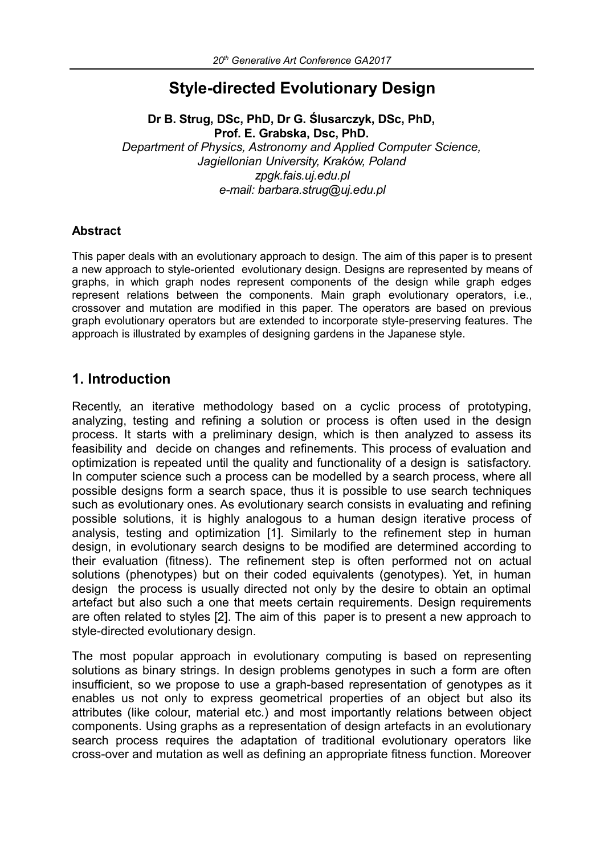# **Style-directed Evolutionary Design**

**Dr B. Strug, DSc, PhD, Dr G. Ślusarczyk, DSc, PhD, Prof. E. Grabska, Dsc, PhD.** 

*Department of Physics, Astronomy and Applied Computer Science, Jagiellonian University, Kraków, Poland zpgk.fais.uj.edu.pl e-mail: barbara.strug@uj.edu.pl*

#### **Abstract**

This paper deals with an evolutionary approach to design. The aim of this paper is to present a new approach to style-oriented evolutionary design. Designs are represented by means of graphs, in which graph nodes represent components of the design while graph edges represent relations between the components. Main graph evolutionary operators, i.e., crossover and mutation are modified in this paper. The operators are based on previous graph evolutionary operators but are extended to incorporate style-preserving features. The approach is illustrated by examples of designing gardens in the Japanese style.

## **1. Introduction**

Recently, an iterative methodology based on a cyclic process of prototyping, analyzing, testing and refining a solution or process is often used in the design process. It starts with a preliminary design, which is then analyzed to assess its feasibility and decide on changes and refinements. This process of evaluation and optimization is repeated until the quality and functionality of a design is satisfactory. In computer science such a process can be modelled by a search process, where all possible designs form a search space, thus it is possible to use search techniques such as evolutionary ones. As evolutionary search consists in evaluating and refining possible solutions, it is highly analogous to a human design iterative process of analysis, testing and optimization [1]. Similarly to the refinement step in human design, in evolutionary search designs to be modified are determined according to their evaluation (fitness). The refinement step is often performed not on actual solutions (phenotypes) but on their coded equivalents (genotypes). Yet, in human design the process is usually directed not only by the desire to obtain an optimal artefact but also such a one that meets certain requirements. Design requirements are often related to styles [2]. The aim of this paper is to present a new approach to style-directed evolutionary design.

The most popular approach in evolutionary computing is based on representing solutions as binary strings. In design problems genotypes in such a form are often insufficient, so we propose to use a graph-based representation of genotypes as it enables us not only to express geometrical properties of an object but also its attributes (like colour, material etc.) and most importantly relations between object components. Using graphs as a representation of design artefacts in an evolutionary search process requires the adaptation of traditional evolutionary operators like cross-over and mutation as well as defining an appropriate fitness function. Moreover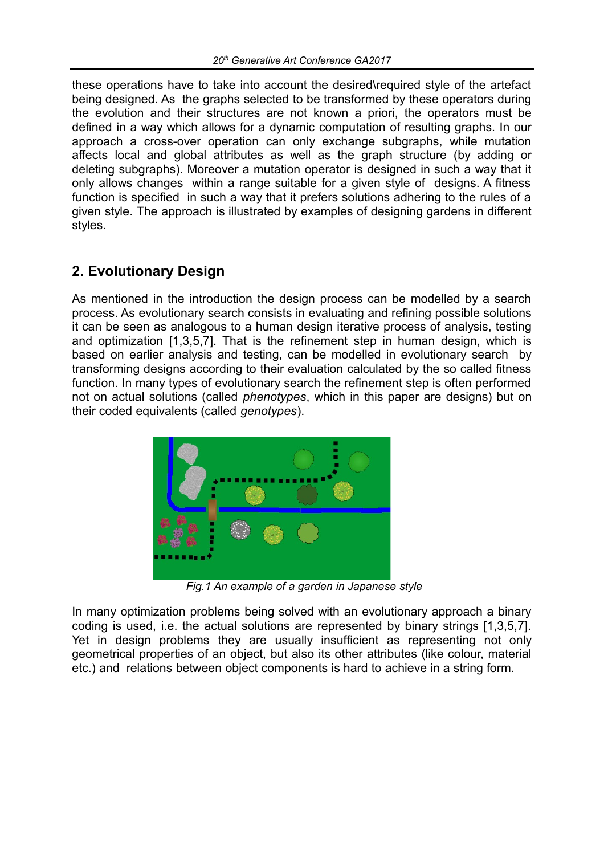these operations have to take into account the desired\required style of the artefact being designed. As the graphs selected to be transformed by these operators during the evolution and their structures are not known a priori, the operators must be defined in a way which allows for a dynamic computation of resulting graphs. In our approach a cross-over operation can only exchange subgraphs, while mutation affects local and global attributes as well as the graph structure (by adding or deleting subgraphs). Moreover a mutation operator is designed in such a way that it only allows changes within a range suitable for a given style of designs. A fitness function is specified in such a way that it prefers solutions adhering to the rules of a given style. The approach is illustrated by examples of designing gardens in different styles.

# **2. Evolutionary Design**

As mentioned in the introduction the design process can be modelled by a search process. As evolutionary search consists in evaluating and refining possible solutions it can be seen as analogous to a human design iterative process of analysis, testing and optimization [1,3,5,7]. That is the refinement step in human design, which is based on earlier analysis and testing, can be modelled in evolutionary search by transforming designs according to their evaluation calculated by the so called fitness function. In many types of evolutionary search the refinement step is often performed not on actual solutions (called *phenotypes*, which in this paper are designs) but on their coded equivalents (called *genotypes*).



 *Fig.1 An example of a garden in Japanese style*

In many optimization problems being solved with an evolutionary approach a binary coding is used, i.e. the actual solutions are represented by binary strings [1,3,5,7]. Yet in design problems they are usually insufficient as representing not only geometrical properties of an object, but also its other attributes (like colour, material etc.) and relations between object components is hard to achieve in a string form.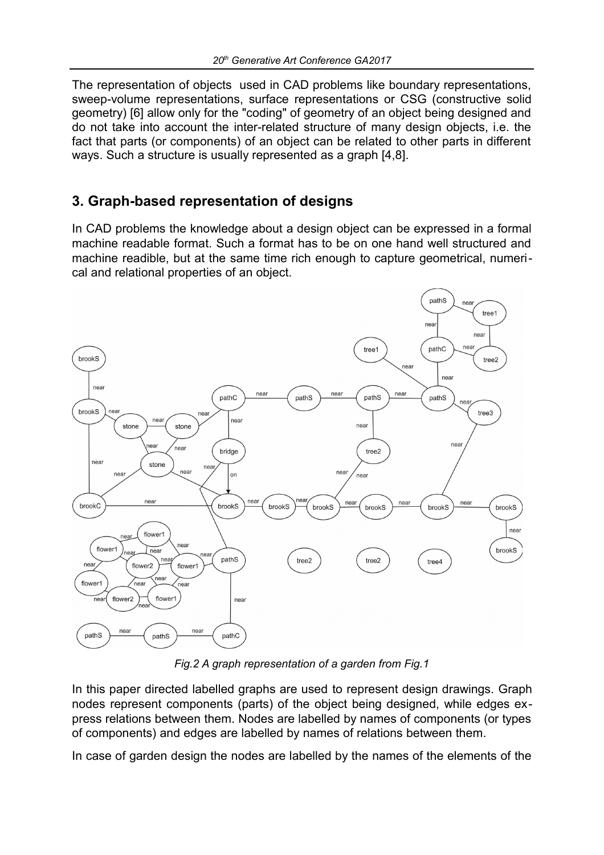The representation of objects used in CAD problems like boundary representations, sweep-volume representations, surface representations or CSG (constructive solid geometry) [6] allow only for the "coding" of geometry of an object being designed and do not take into account the inter-related structure of many design objects, i.e. the fact that parts (or components) of an object can be related to other parts in different ways. Such a structure is usually represented as a graph [4,8].

# **3. Graph-based representation of designs**

In CAD problems the knowledge about a design object can be expressed in a formal machine readable format. Such a format has to be on one hand well structured and machine readible, but at the same time rich enough to capture geometrical, numerical and relational properties of an object.



*Fig.2 A graph representation of a garden from Fig.1*

In this paper directed labelled graphs are used to represent design drawings. Graph nodes represent components (parts) of the object being designed, while edges express relations between them. Nodes are labelled by names of components (or types of components) and edges are labelled by names of relations between them.

In case of garden design the nodes are labelled by the names of the elements of the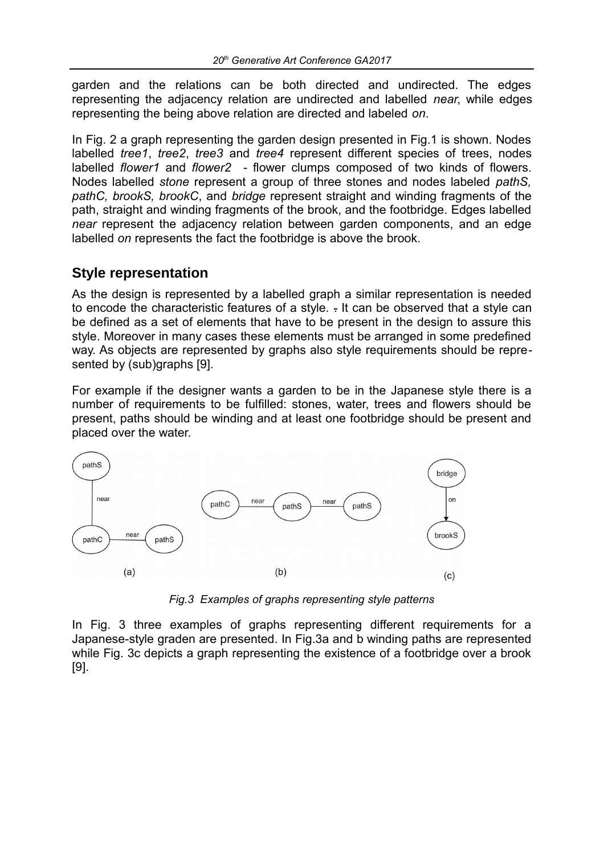garden and the relations can be both directed and undirected. The edges representing the adjacency relation are undirected and labelled *near*, while edges representing the being above relation are directed and labeled *on*.

In Fig. 2 a graph representing the garden design presented in Fig.1 is shown. Nodes labelled *tree1*, *tree2*, *tree3* and *tree4* represent different species of trees, nodes labelled *flower1* and *flower2 -* flower clumps composed of two kinds of flowers. Nodes labelled *stone* represent a group of three stones and nodes labeled *pathS, pathC, brookS, brookC*, and *bridge* represent straight and winding fragments of the path, straight and winding fragments of the brook, and the footbridge. Edges labelled *near* represent the adjacency relation between garden components, and an edge labelled *on* represents the fact the footbridge is above the brook.

#### **Style representation**

As the design is represented by a labelled graph a similar representation is needed to encode the characteristic features of a style. - It can be observed that a style can be defined as a set of elements that have to be present in the design to assure this style. Moreover in many cases these elements must be arranged in some predefined way. As objects are represented by graphs also style requirements should be represented by (sub)graphs [9].

For example if the designer wants a garden to be in the Japanese style there is a number of requirements to be fulfilled: stones, water, trees and flowers should be present, paths should be winding and at least one footbridge should be present and placed over the water.



*Fig.3 Examples of graphs representing style patterns*

In Fig. 3 three examples of graphs representing different requirements for a Japanese-style graden are presented. In Fig.3a and b winding paths are represented while Fig. 3c depicts a graph representing the existence of a footbridge over a brook [9].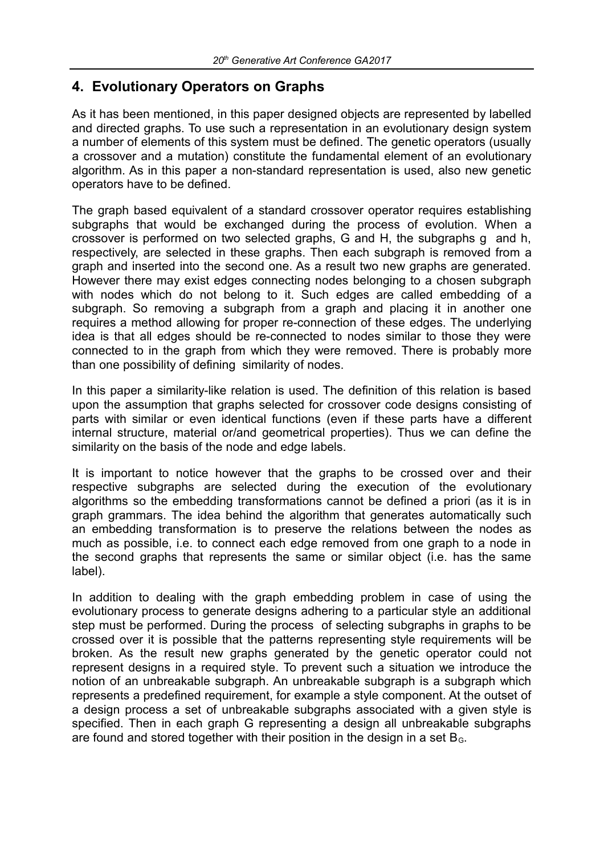#### **4. Evolutionary Operators on Graphs**

As it has been mentioned, in this paper designed objects are represented by labelled and directed graphs. To use such a representation in an evolutionary design system a number of elements of this system must be defined. The genetic operators (usually a crossover and a mutation) constitute the fundamental element of an evolutionary algorithm. As in this paper a non-standard representation is used, also new genetic operators have to be defined.

The graph based equivalent of a standard crossover operator requires establishing subgraphs that would be exchanged during the process of evolution. When a crossover is performed on two selected graphs, G and H, the subgraphs g and h, respectively, are selected in these graphs. Then each subgraph is removed from a graph and inserted into the second one. As a result two new graphs are generated. However there may exist edges connecting nodes belonging to a chosen subgraph with nodes which do not belong to it. Such edges are called embedding of a subgraph. So removing a subgraph from a graph and placing it in another one requires a method allowing for proper re-connection of these edges. The underlying idea is that all edges should be re-connected to nodes similar to those they were connected to in the graph from which they were removed. There is probably more than one possibility of defining similarity of nodes.

In this paper a similarity-like relation is used. The definition of this relation is based upon the assumption that graphs selected for crossover code designs consisting of parts with similar or even identical functions (even if these parts have a different internal structure, material or/and geometrical properties). Thus we can define the similarity on the basis of the node and edge labels.

It is important to notice however that the graphs to be crossed over and their respective subgraphs are selected during the execution of the evolutionary algorithms so the embedding transformations cannot be defined a priori (as it is in graph grammars. The idea behind the algorithm that generates automatically such an embedding transformation is to preserve the relations between the nodes as much as possible, i.e. to connect each edge removed from one graph to a node in the second graphs that represents the same or similar object (i.e. has the same label).

In addition to dealing with the graph embedding problem in case of using the evolutionary process to generate designs adhering to a particular style an additional step must be performed. During the process of selecting subgraphs in graphs to be crossed over it is possible that the patterns representing style requirements will be broken. As the result new graphs generated by the genetic operator could not represent designs in a required style. To prevent such a situation we introduce the notion of an unbreakable subgraph. An unbreakable subgraph is a subgraph which represents a predefined requirement, for example a style component. At the outset of a design process a set of unbreakable subgraphs associated with a given style is specified. Then in each graph G representing a design all unbreakable subgraphs are found and stored together with their position in the design in a set  $B<sub>G</sub>$ .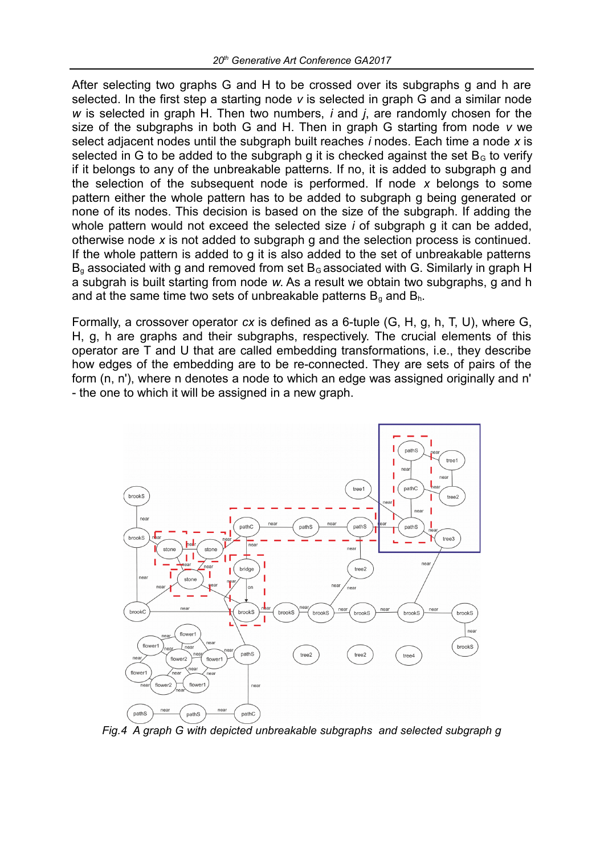After selecting two graphs G and H to be crossed over its subgraphs g and h are selected. In the first step a starting node *v* is selected in graph G and a similar node *w* is selected in graph H. Then two numbers, *i* and *j*, are randomly chosen for the size of the subgraphs in both G and H. Then in graph G starting from node *v* we select adjacent nodes until the subgraph built reaches *i* nodes. Each time a node *x* is selected in G to be added to the subgraph g it is checked against the set  $B<sub>G</sub>$  to verify if it belongs to any of the unbreakable patterns. If no, it is added to subgraph g and the selection of the subsequent node is performed. If node *x* belongs to some pattern either the whole pattern has to be added to subgraph g being generated or none of its nodes. This decision is based on the size of the subgraph. If adding the whole pattern would not exceed the selected size *i* of subgraph g it can be added, otherwise node *x* is not added to subgraph g and the selection process is continued. If the whole pattern is added to g it is also added to the set of unbreakable patterns  $B<sub>a</sub>$  associated with g and removed from set  $B<sub>G</sub>$  associated with G. Similarly in graph H a subgrah is built starting from node *w*. As a result we obtain two subgraphs, g and h and at the same time two sets of unbreakable patterns  $B<sub>q</sub>$  and  $B<sub>h</sub>$ .

Formally, a crossover operator *cx* is defined as a 6-tuple (G, H, g, h, T, U), where G, H, g, h are graphs and their subgraphs, respectively. The crucial elements of this operator are T and U that are called embedding transformations, i.e., they describe how edges of the embedding are to be re-connected. They are sets of pairs of the form (n, n'), where n denotes a node to which an edge was assigned originally and n' - the one to which it will be assigned in a new graph.



*Fig.4 A graph G with depicted unbreakable subgraphs and selected subgraph g*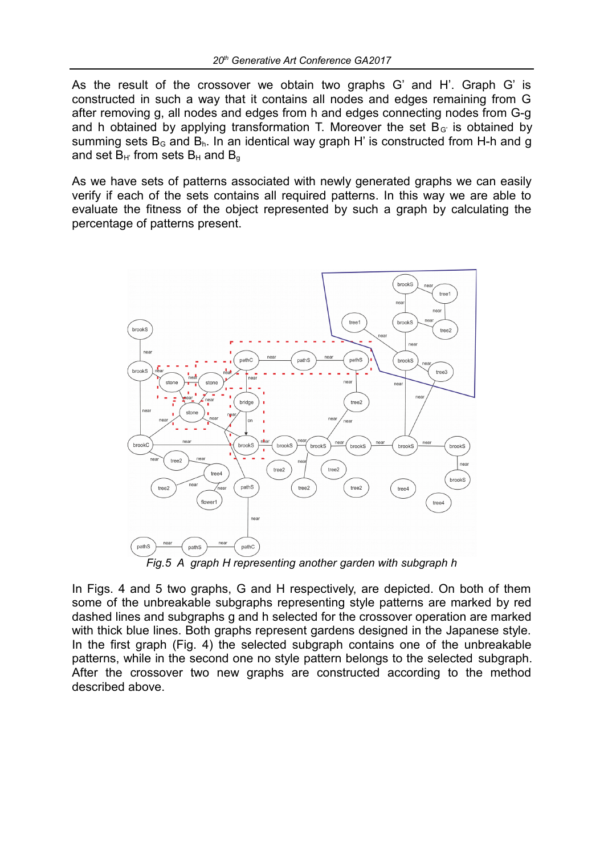As the result of the crossover we obtain two graphs G' and H'. Graph G' is constructed in such a way that it contains all nodes and edges remaining from G after removing g, all nodes and edges from h and edges connecting nodes from G-g and h obtained by applying transformation T. Moreover the set  $B<sub>G</sub>$  is obtained by summing sets  $B<sub>G</sub>$  and  $B<sub>h</sub>$ . In an identical way graph H' is constructed from H-h and g and set  $B_H$  from sets  $B_H$  and  $B_G$ 

As we have sets of patterns associated with newly generated graphs we can easily verify if each of the sets contains all required patterns. In this way we are able to evaluate the fitness of the object represented by such a graph by calculating the percentage of patterns present.



*Fig.5 A graph H representing another garden with subgraph h*

In Figs. 4 and 5 two graphs, G and H respectively, are depicted. On both of them some of the unbreakable subgraphs representing style patterns are marked by red dashed lines and subgraphs g and h selected for the crossover operation are marked with thick blue lines. Both graphs represent gardens designed in the Japanese style. In the first graph (Fig. 4) the selected subgraph contains one of the unbreakable patterns, while in the second one no style pattern belongs to the selected subgraph. After the crossover two new graphs are constructed according to the method described above.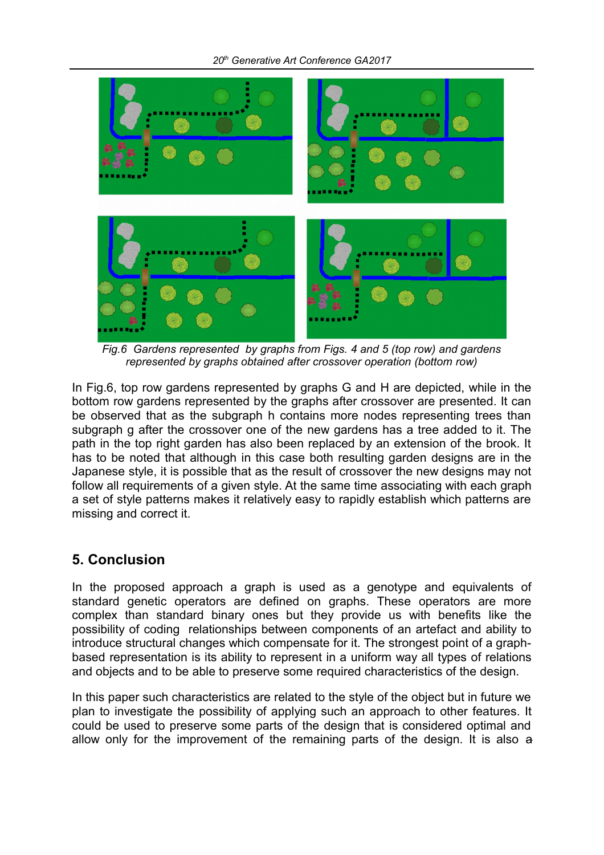

*Fig.6 Gardens represented by graphs from Figs. 4 and 5 (top row) and gardens represented by graphs obtained after crossover operation (bottom row)*

In Fig.6, top row gardens represented by graphs G and H are depicted, while in the bottom row gardens represented by the graphs after crossover are presented. It can be observed that as the subgraph h contains more nodes representing trees than subgraph g after the crossover one of the new gardens has a tree added to it. The path in the top right garden has also been replaced by an extension of the brook. It has to be noted that although in this case both resulting garden designs are in the Japanese style, it is possible that as the result of crossover the new designs may not follow all requirements of a given style. At the same time associating with each graph a set of style patterns makes it relatively easy to rapidly establish which patterns are missing and correct it.

# **5. Conclusion**

In the proposed approach a graph is used as a genotype and equivalents of standard genetic operators are defined on graphs. These operators are more complex than standard binary ones but they provide us with benefits like the possibility of coding relationships between components of an artefact and ability to introduce structural changes which compensate for it. The strongest point of a graphbased representation is its ability to represent in a uniform way all types of relations and objects and to be able to preserve some required characteristics of the design.

In this paper such characteristics are related to the style of the object but in future we plan to investigate the possibility of applying such an approach to other features. It could be used to preserve some parts of the design that is considered optimal and allow only for the improvement of the remaining parts of the design. It is also a